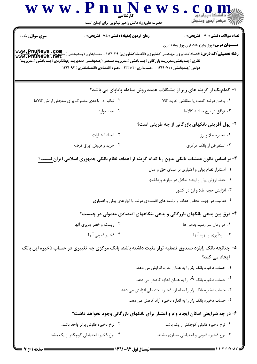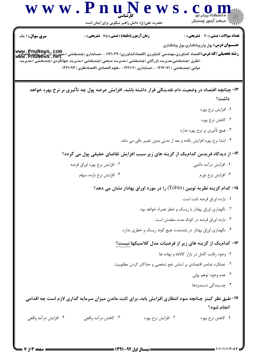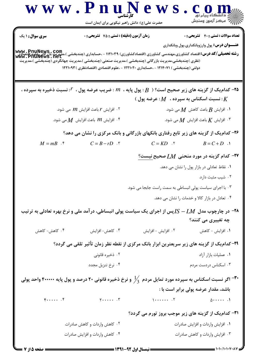| WWW.PD                                                                                                                                                                                     | کار شناسی<br>حضرت علی(ع): دانش راهبر نیکویی برای ایمان است                                                                                                                                | e w s                                                                              | رِ آھرڪز آزمون وسنڊش                                 |
|--------------------------------------------------------------------------------------------------------------------------------------------------------------------------------------------|-------------------------------------------------------------------------------------------------------------------------------------------------------------------------------------------|------------------------------------------------------------------------------------|------------------------------------------------------|
| <b>سری سوال :</b> ۱ یک                                                                                                                                                                     | زمان آزمون (دقیقه) : تستی : 75 تشریحی : 0                                                                                                                                                 |                                                                                    | <b>تعداد سوالات : تستی : 40 ٪ تشریحی : 0</b>         |
| <b>www , PnuNews,. Com.</b><br><b>رشته تحصیلی/کد درس:</b> اقتصاد کشاورزی،مهندسی کشاورزی (اقتصادکشاورزی) ۱۱۲۱۰۳۹ - ،حسابداری (چندبخشی )،مدیریت بازرگانی،علوم اقتصادی<br>www . PnuNews . net | (نظری )چندبخشی،مدیریت بازرگانی (چندبخشی )،مدیریت صنعتی (چندبخشی )،مدیریت جهانگردی (چندبخشی )،مدیریت<br>دولتی (چندبخشی ) ۱۲۱۴۰۷۱ - ،حسابداری ۱۲۲۱۰۲۰ - ،علوم اقتصادی (اقتصادنظری ) ۱۲۲۱۰۹۳ |                                                                                    | <b>عنـــوان درس:</b> پول وارزوبانکداري،پول وبانکداري |
|                                                                                                                                                                                            | ۰۲۵ کدام یک از گزینه های زیر صحیح است؟ ( $B$ : پول پایه ، $m$ : ضریب عرضه پول ، ${\cal F}$ : نسبت ذخیره به سپرده ، $\,$                                                                   | : نسبت اسکناس به سپرده ، $M$ : عرضه پول ) : $K$                                    |                                                      |
|                                                                                                                                                                                            |                                                                                                                                                                                           |                                                                                    |                                                      |
| ۰۲ افزایش $r$ باعث افزایش $m$ می شود. $\,$<br>ا افزایش $m$ باعث افزایش $M$ می شود. $\ell$                                                                                                  |                                                                                                                                                                                           | ۰۱ افزایش $B$ باعث کاهش $M$ می شود. $\,$<br>افزایش $K$ باعث افزایش $M$ می شود. $K$ |                                                      |
|                                                                                                                                                                                            | ۲۶- کدام یک از گزینه های زیر تابع رفتاری بانکهای بازرگانی و بانک مرکزی را نشان می دهد؟                                                                                                    |                                                                                    |                                                      |
| $M = mB$ .                                                                                                                                                                                 | $C = B - rD$ $\cdot$ $\cdot$                                                                                                                                                              | $C = KD$ .                                                                         | $B = C + D$ .                                        |
|                                                                                                                                                                                            |                                                                                                                                                                                           |                                                                                    | ۳۷- کدام گزینه در مورد منحنی $L M$ صحیح نیست؟        |
|                                                                                                                                                                                            |                                                                                                                                                                                           |                                                                                    | ۰۱ نقاط تعادلی در بازار پول را نشان می دهد.          |
|                                                                                                                                                                                            |                                                                                                                                                                                           |                                                                                    | ۰۲ شیب مثبت دارد.                                    |
|                                                                                                                                                                                            |                                                                                                                                                                                           | ۰۳ با اجرای سیاست پولی انبساطی به سمت راست جابجا می شود.                           |                                                      |
|                                                                                                                                                                                            |                                                                                                                                                                                           |                                                                                    | ۰۴ تعادل در بازار کالا و خدمات را نشان می دهد.       |
|                                                                                                                                                                                            | در چارچوب مدل $L$ $L$ پس از اجرای یک سیاست پولی انبساطی، درآمد ملی و نرخ بهره تعادلی به ترتیب $\sim$                                                                                      |                                                                                    | چه تغییری می کنند؟                                   |
| ۰۴ کاهش- کاهش                                                                                                                                                                              | ۰۳ کاهش- افزایش                                                                                                                                                                           | ٠٢ افزايش - افزايش                                                                 | ۰۱ افزایش - کاهش                                     |
|                                                                                                                                                                                            | ۲۹- کدام یک از گزینه های زیر سریعترین ابزار بانک مرکزی از نقطه نظر زمان تأثیر تلقی می گردد؟                                                                                               |                                                                                    |                                                      |
|                                                                                                                                                                                            | ۰۲ ذخیره قانونی                                                                                                                                                                           |                                                                                    | ٠١ عمليات بازار آزاد                                 |
|                                                                                                                                                                                            | ۰۴ نرخ تنزیل مجدد                                                                                                                                                                         |                                                                                    | ۰۳ اسکناس دردست مردم                                 |
|                                                                                                                                                                                            | اگر نسبت اسکناس به سپرده مورد تمایل مردم $\frac{1}{3}$ و نرخ ذخیره قانونی ۲۰ درصد و پول پایه ۴۰۰۰۰۰ واحد پولی $^{-{\mathfrak{r}}\cdot}$                                                   |                                                                                    |                                                      |
|                                                                                                                                                                                            |                                                                                                                                                                                           |                                                                                    | باشد، مقدار عرضه پولی برابر است با :                 |
| $\mathfrak{e}$ $\mathfrak{e}$                                                                                                                                                              | $Y$ $Y$                                                                                                                                                                                   | $\cdots$ . T                                                                       | $\Delta$                                             |
|                                                                                                                                                                                            |                                                                                                                                                                                           | <b>۳۱- کدام یک از گزینه های زیر موجب بروز تورم می گردد؟</b>                        |                                                      |
| ۰۲ کاهش واردات و کاهش صادرات                                                                                                                                                               |                                                                                                                                                                                           | ٠١ افزايش واردات و افزايش صادرات                                                   |                                                      |
|                                                                                                                                                                                            | ۰۴ کاهش واردات و افزایش صادرات                                                                                                                                                            |                                                                                    | ۰۳ افزایش واردات و کاهش صادرات                       |
|                                                                                                                                                                                            |                                                                                                                                                                                           |                                                                                    |                                                      |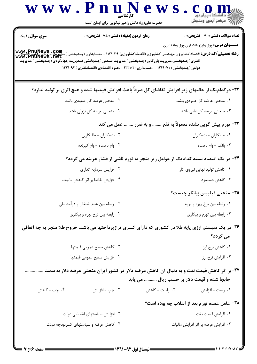|                                       | حضرت علی(ع): دانش راهبر نیکویی برای ایمان است                                                       | ے<br>ایک مرکز آزمون وسنجش                                                                                                                                                                                                           |  |
|---------------------------------------|-----------------------------------------------------------------------------------------------------|-------------------------------------------------------------------------------------------------------------------------------------------------------------------------------------------------------------------------------------|--|
| <b>سری سوال :</b> ۱ یک                | <b>زمان آزمون (دقیقه) : تستی : 75 تشریحی : 0</b>                                                    | <b>تعداد سوالات : تستی : 40 قشریحی : 0</b>                                                                                                                                                                                          |  |
|                                       |                                                                                                     | <b>عنــــوان درس:</b> پول وارزوبانکداری،پول وبانکداری<br> www , PnuNews , Com<br>  <b>رشته تحصیلی/کد درس:</b> اقتصاد کشاورزی،مهندسی کشاورزی (اقتصادکشاورزی) ۱۱۲۱۰۳۹ - ،حسابداری (چندبخشی )،مدیریت بازرگانی<br>  www , PnuNews , net |  |
|                                       | (نظری )چندبخشی،مدیریت بازرگانی (چندبخشی )،مدیریت صنعتی (چندبخشی )،مدیریت جهانگردی (چندبخشی )،مدیریت |                                                                                                                                                                                                                                     |  |
|                                       | دولتی (چندبخشی ) ۱۲۱۴۰۷۱ - ،حسابداری ۱۲۲۱۰۲۰ - ،علوم اقتصادی (اقتصادنظری ) ۱۲۲۱۰۹۳                  |                                                                                                                                                                                                                                     |  |
|                                       |                                                                                                     | ۳۲- در کدام یک از حالتهای زیر افزایش تقاضای کل صرفاً باعث افزایش قیمتها شده و هیچ اثری بر تولید ندارد؟                                                                                                                              |  |
| ۰۲ منحنی عرضه کل صعودی باشد.          |                                                                                                     | ۰۱ منحنی عرضه کل عمودی باشد.                                                                                                                                                                                                        |  |
| ۰۴ منحنی عرضه کل نزولی باشد.          |                                                                                                     | ۰۳ منحنی عرضه کل افقی باشد.                                                                                                                                                                                                         |  |
|                                       |                                                                                                     | ۳۳- تورم پیش گویی نشده معمولاً به نفع  و به ضرر  عمل می کند.                                                                                                                                                                        |  |
| ۰۲ بدهکاران - طلبکاران                |                                                                                                     | ٠١ طلبكاران - بدهكاران                                                                                                                                                                                                              |  |
| ۰۴ وام دهنده - وام گیرنده             |                                                                                                     | ۰۳ بانک - وام دهنده                                                                                                                                                                                                                 |  |
|                                       |                                                                                                     | ۳۴- در یک اقتصاد بسته کدام یک از عوامل زیر منجر به تورم ناشی از فشار هزینه می گردد؟                                                                                                                                                 |  |
| ۰۲ افزایش سرمایه گذاری                |                                                                                                     | ۰۱ کاهش تولید نهایی نیروی کار                                                                                                                                                                                                       |  |
| ۰۴ افزایش تقاضا بر اثر کاهش مالیات    |                                                                                                     | ۰۳ کاهش دستمزد                                                                                                                                                                                                                      |  |
|                                       |                                                                                                     | ۳۵– منحنی فیلیپس بیانگر چیست؟                                                                                                                                                                                                       |  |
| ۰۲ رابطه بین عدم اشتغال و درآمد ملی   |                                                                                                     | ٠١. رابطه بين نرخ بهره و تورم                                                                                                                                                                                                       |  |
| ۰۴ رابطه بین نرخ بهره و بیکاری        |                                                                                                     | ۰۳ رابطه بین تورم و بیکاری                                                                                                                                                                                                          |  |
|                                       |                                                                                                     | ۳۶-در یک سیستم ارزی پایه طلا در کشوری که دارای کسری ترازپرداختها می باشد، خروج طلا منجر به چه اتفاقی<br>می گردد؟                                                                                                                    |  |
| ٠٢ كاهش سطح عمومي قيمتها              |                                                                                                     | ۰۱ کاهش نرخ ارز                                                                                                                                                                                                                     |  |
| ۰۴ افزايش سطح عمومي قيمتها            |                                                                                                     | ۰۳ افزایش نرخ ارز                                                                                                                                                                                                                   |  |
|                                       |                                                                                                     | ۳۷-بر اثر کاهش قیمت نفت و به دنبال آن کاهش عرضه دلار در کشور ایران منحنی عرضه دلار به سمت                                                                                                                                           |  |
|                                       |                                                                                                     | جابجا شده و قیمت دلار بر حسب ریال  می یابد.                                                                                                                                                                                         |  |
| ۰۴ چپ - کاهش                          | ۰۳ چپ - افزايش                                                                                      | ۰۱ راست - افزايش<br>۰۲ راست – کاهش                                                                                                                                                                                                  |  |
|                                       |                                                                                                     | ۳۸- عامل عمده تورم بعد از انقلاب چه بوده است؟                                                                                                                                                                                       |  |
| ۰۲ افزایش سیاستهای انقباضی دولت       |                                                                                                     | ٠١. افزايش قيمت نفت                                                                                                                                                                                                                 |  |
| ۰۴ کاهش عرضه و سیاستهای کسربودجه دولت |                                                                                                     | ۰۳ افزایش عرضه بر اثر افزایش مالیات                                                                                                                                                                                                 |  |